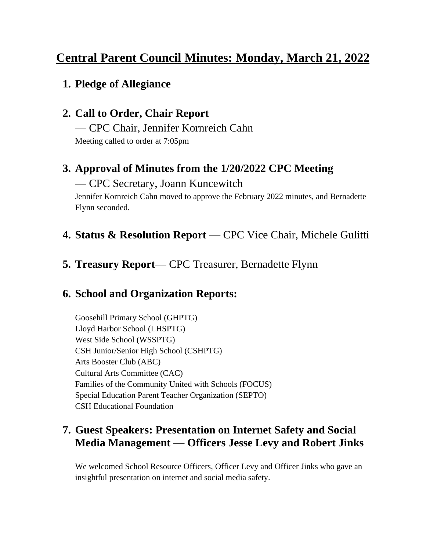# **Central Parent Council Minutes: Monday, March 21, 2022**

## **1. Pledge of Allegiance**

## **2. Call to Order, Chair Report**

**—** CPC Chair, Jennifer Kornreich Cahn Meeting called to order at 7:05pm

## **3. Approval of Minutes from the 1/20/2022 CPC Meeting**

#### — CPC Secretary, Joann Kuncewitch

Jennifer Kornreich Cahn moved to approve the February 2022 minutes, and Bernadette Flynn seconded.

#### **4. Status & Resolution Report** — CPC Vice Chair, Michele Gulitti

#### **5. Treasury Report**— CPC Treasurer, Bernadette Flynn

### **6. School and Organization Reports:**

Goosehill Primary School (GHPTG) Lloyd Harbor School (LHSPTG) West Side School (WSSPTG) CSH Junior/Senior High School (CSHPTG) Arts Booster Club (ABC) Cultural Arts Committee (CAC) Families of the Community United with Schools (FOCUS) Special Education Parent Teacher Organization (SEPTO) CSH Educational Foundation

### **7. Guest Speakers: Presentation on Internet Safety and Social Media Management — Officers Jesse Levy and Robert Jinks**

We welcomed School Resource Officers, Officer Levy and Officer Jinks who gave an insightful presentation on internet and social media safety.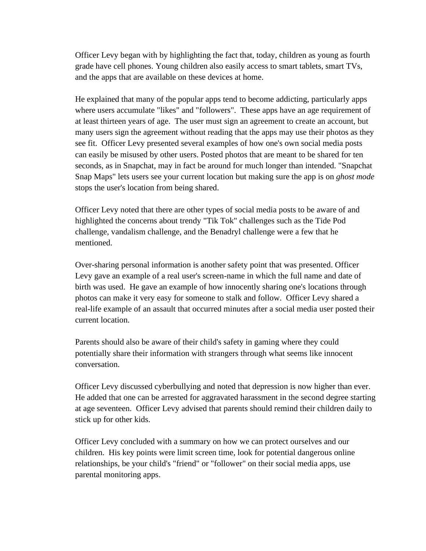Officer Levy began with by highlighting the fact that, today, children as young as fourth grade have cell phones. Young children also easily access to smart tablets, smart TVs, and the apps that are available on these devices at home.

He explained that many of the popular apps tend to become addicting, particularly apps where users accumulate "likes" and "followers". These apps have an age requirement of at least thirteen years of age. The user must sign an agreement to create an account, but many users sign the agreement without reading that the apps may use their photos as they see fit. Officer Levy presented several examples of how one's own social media posts can easily be misused by other users. Posted photos that are meant to be shared for ten seconds, as in Snapchat, may in fact be around for much longer than intended. "Snapchat Snap Maps" lets users see your current location but making sure the app is on *ghost mode* stops the user's location from being shared.

Officer Levy noted that there are other types of social media posts to be aware of and highlighted the concerns about trendy "Tik Tok" challenges such as the Tide Pod challenge, vandalism challenge, and the Benadryl challenge were a few that he mentioned.

Over-sharing personal information is another safety point that was presented. Officer Levy gave an example of a real user's screen-name in which the full name and date of birth was used. He gave an example of how innocently sharing one's locations through photos can make it very easy for someone to stalk and follow. Officer Levy shared a real-life example of an assault that occurred minutes after a social media user posted their current location.

Parents should also be aware of their child's safety in gaming where they could potentially share their information with strangers through what seems like innocent conversation.

Officer Levy discussed cyberbullying and noted that depression is now higher than ever. He added that one can be arrested for aggravated harassment in the second degree starting at age seventeen. Officer Levy advised that parents should remind their children daily to stick up for other kids.

Officer Levy concluded with a summary on how we can protect ourselves and our children. His key points were limit screen time, look for potential dangerous online relationships, be your child's "friend" or "follower" on their social media apps, use parental monitoring apps.